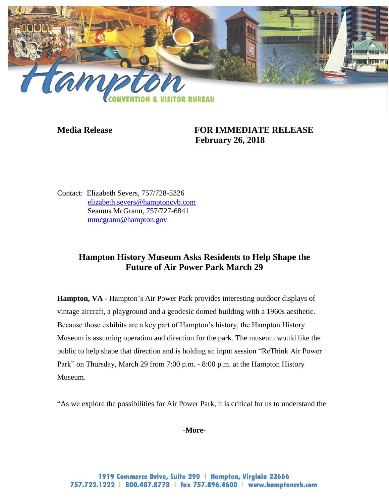

# **Media Release FOR IMMEDIATE RELEASE February 26, 2018**

Contact: Elizabeth Severs, 757/728-5326 [elizabeth.severs@hamptoncvb.com](mailto:elizabeth.severs@hamptoncvb.com) Seamus McGrann, 757/727-6841 [mmcgrann@hampton.gov](mailto:mmcgrann@hampton.gov)

# **Hampton History Museum Asks Residents to Help Shape the Future of Air Power Park March 29**

**Hampton, VA -** Hampton's Air Power Park provides interesting outdoor displays of vintage aircraft, a playground and a geodesic domed building with a 1960s aesthetic. Because those exhibits are a key part of Hampton's history, the Hampton History Museum is assuming operation and direction for the park. The museum would like the public to help shape that direction and is holding an input session "ReThink Air Power Park" on Thursday, March 29 from 7:00 p.m. - 8:00 p.m. at the Hampton History Museum.

"As we explore the possibilities for Air Power Park, it is critical for us to understand the

**-More-**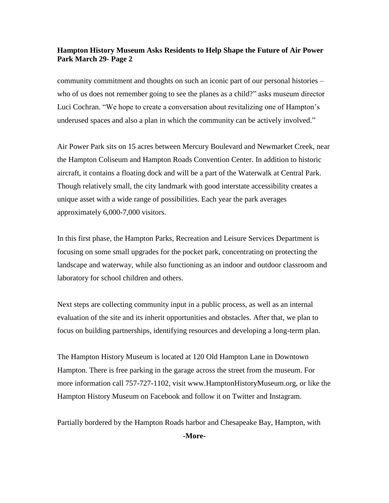### **Hampton History Museum Asks Residents to Help Shape the Future of Air Power Park March 29- Page 2**

community commitment and thoughts on such an iconic part of our personal histories – who of us does not remember going to see the planes as a child?" asks museum director Luci Cochran. "We hope to create a conversation about revitalizing one of Hampton's underused spaces and also a plan in which the community can be actively involved."

Air Power Park sits on 15 acres between Mercury Boulevard and Newmarket Creek, near the Hampton Coliseum and Hampton Roads Convention Center. In addition to historic aircraft, it contains a floating dock and will be a part of the Waterwalk at Central Park. Though relatively small, the city landmark with good interstate accessibility creates a unique asset with a wide range of possibilities. Each year the park averages approximately 6,000-7,000 visitors.

In this first phase, the Hampton Parks, Recreation and Leisure Services Department is focusing on some small upgrades for the pocket park, concentrating on protecting the landscape and waterway, while also functioning as an indoor and outdoor classroom and laboratory for school children and others.

Next steps are collecting community input in a public process, as well as an internal evaluation of the site and its inherit opportunities and obstacles. After that, we plan to focus on building partnerships, identifying resources and developing a long-term plan.

The Hampton History Museum is located at 120 Old Hampton Lane in Downtown Hampton. There is free parking in the garage across the street from the museum. For more information call 757-727-1102, visit www.HamptonHistoryMuseum.org, or like the Hampton History Museum on Facebook and follow it on Twitter and Instagram.

Partially bordered by the Hampton Roads harbor and Chesapeake Bay, Hampton, with

**-More-**